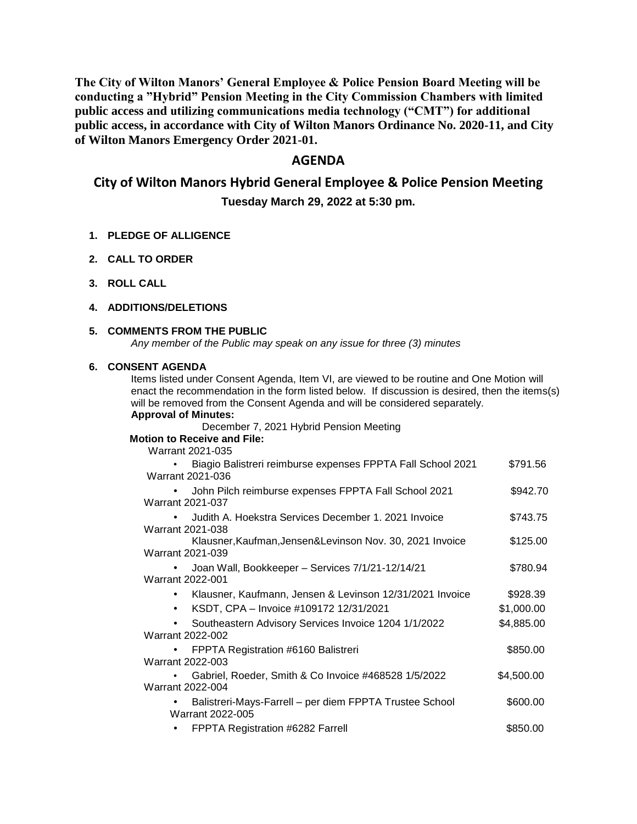**The City of Wilton Manors' General Employee & Police Pension Board Meeting will be conducting a "Hybrid" Pension Meeting in the City Commission Chambers with limited public access and utilizing communications media technology ("CMT") for additional public access, in accordance with City of Wilton Manors Ordinance No. 2020-11, and City of Wilton Manors Emergency Order 2021-01.** 

# **AGENDA**

# **City of Wilton Manors Hybrid General Employee & Police Pension Meeting**

**Tuesday March 29, 2022 at 5:30 pm.**

- **1. PLEDGE OF ALLIGENCE**
- **2. CALL TO ORDER**
- **3. ROLL CALL**

#### **4. ADDITIONS/DELETIONS**

#### **5. COMMENTS FROM THE PUBLIC**

*Any member of the Public may speak on any issue for three (3) minutes*

#### **6. CONSENT AGENDA**

Items listed under Consent Agenda, Item VI, are viewed to be routine and One Motion will enact the recommendation in the form listed below. If discussion is desired, then the items(s) will be removed from the Consent Agenda and will be considered separately. **Approval of Minutes:**

December 7, 2021 Hybrid Pension Meeting

## **Motion to Receive and File:**

Warrant 2021-035

| Biagio Balistreri reimburse expenses FPPTA Fall School 2021<br>Warrant 2021-036 | \$791.56   |
|---------------------------------------------------------------------------------|------------|
| John Pilch reimburse expenses FPPTA Fall School 2021<br>Warrant 2021-037        | \$942.70   |
| Judith A. Hoekstra Services December 1, 2021 Invoice<br>Warrant 2021-038        | \$743.75   |
| Klausner, Kaufman, Jensen & Levinson Nov. 30, 2021 Invoice<br>Warrant 2021-039  | \$125.00   |
| Joan Wall, Bookkeeper - Services 7/1/21-12/14/21<br><b>Warrant 2022-001</b>     | \$780.94   |
| Klausner, Kaufmann, Jensen & Levinson 12/31/2021 Invoice<br>٠                   | \$928.39   |
| KSDT, CPA - Invoice #109172 12/31/2021<br>$\bullet$                             | \$1,000.00 |
| Southeastern Advisory Services Invoice 1204 1/1/2022<br>٠<br>Warrant 2022-002   | \$4,885.00 |
| FPPTA Registration #6160 Balistreri<br>Warrant 2022-003                         | \$850.00   |
| Gabriel, Roeder, Smith & Co Invoice #468528 1/5/2022<br>Warrant 2022-004        | \$4,500.00 |
| Balistreri-Mays-Farrell – per diem FPPTA Trustee School<br>Warrant 2022-005     | \$600.00   |
| FPPTA Registration #6282 Farrell                                                | \$850.00   |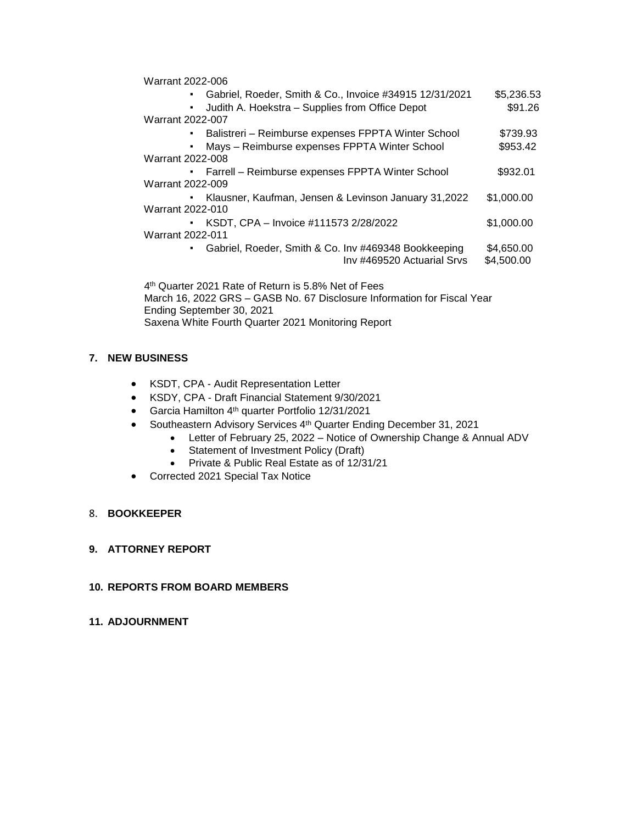| Warrant 2022-006                                                      |            |  |  |
|-----------------------------------------------------------------------|------------|--|--|
| Gabriel, Roeder, Smith & Co., Invoice #34915 12/31/2021<br>٠          | \$5,236.53 |  |  |
| Judith A. Hoekstra – Supplies from Office Depot<br>٠                  | \$91.26    |  |  |
| <b>Warrant 2022-007</b>                                               |            |  |  |
| Balistreri – Reimburse expenses FPPTA Winter School<br>٠              | \$739.93   |  |  |
| Mays - Reimburse expenses FPPTA Winter School<br>٠                    | \$953.42   |  |  |
| Warrant 2022-008                                                      |            |  |  |
| Farrell - Reimburse expenses FPPTA Winter School<br>к.                | \$932.01   |  |  |
| Warrant 2022-009                                                      |            |  |  |
| Klausner, Kaufman, Jensen & Levinson January 31,2022<br>٠             | \$1,000.00 |  |  |
| Warrant 2022-010                                                      |            |  |  |
| KSDT, CPA - Invoice #111573 2/28/2022<br>$\mathbf{H}^{\prime}$        | \$1,000.00 |  |  |
| Warrant 2022-011                                                      |            |  |  |
| Gabriel, Roeder, Smith & Co. Inv #469348 Bookkeeping<br>٠             | \$4,650.00 |  |  |
| Inv #469520 Actuarial Srvs                                            | \$4,500.00 |  |  |
| 4 <sup>th</sup> Quarter 2021 Rate of Return is 5.8% Net of Fees       |            |  |  |
| March 16, 2022 CDS CASD No. 67 Disolecure Information for Eigeal Voor |            |  |  |

 March 16, 2022 GRS – GASB No. 67 Disclosure Information for Fiscal Year Ending September 30, 2021 Saxena White Fourth Quarter 2021 Monitoring Report

# **7. NEW BUSINESS**

- KSDT, CPA Audit Representation Letter
- KSDY, CPA Draft Financial Statement 9/30/2021
- Garcia Hamilton 4th quarter Portfolio 12/31/2021
- Southeastern Advisory Services 4<sup>th</sup> Quarter Ending December 31, 2021
	- Letter of February 25, 2022 Notice of Ownership Change & Annual ADV
	- Statement of Investment Policy (Draft)
	- Private & Public Real Estate as of 12/31/21
- Corrected 2021 Special Tax Notice

### 8. **BOOKKEEPER**

# **9. ATTORNEY REPORT**

### **10. REPORTS FROM BOARD MEMBERS**

**11. ADJOURNMENT**